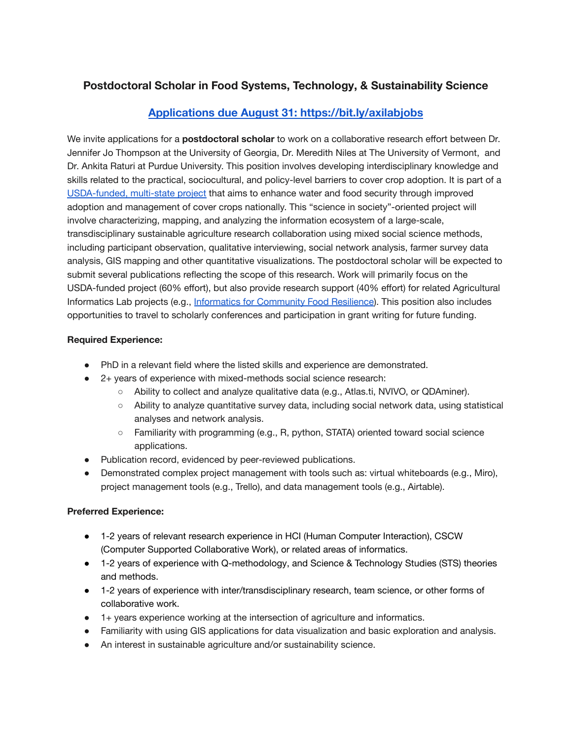# **Postdoctoral Scholar in Food Systems, Technology, & Sustainability Science**

## **[Applications due August 31: https://bit.ly/axilabjobs](https://bit.ly/axilabjobs)**

We invite applications for a **postdoctoral scholar** to work on a collaborative research effort between Dr. Jennifer Jo Thompson at the University of Georgia, Dr. Meredith Niles at The University of Vermont, and Dr. Ankita Raturi at Purdue University. This position involves developing interdisciplinary knowledge and skills related to the practical, sociocultural, and policy-level barriers to cover crop adoption. It is part of a [USDA-funded,](http://precisionsustainableag.org/) multi-state project that aims to enhance water and food security through improved adoption and management of cover crops nationally. This "science in society"-oriented project will involve characterizing, mapping, and analyzing the information ecosystem of a large-scale, transdisciplinary sustainable agriculture research collaboration using mixed social science methods, including participant observation, qualitative interviewing, social network analysis, farmer survey data analysis, GIS mapping and other quantitative visualizations. The postdoctoral scholar will be expected to submit several publications reflecting the scope of this research. Work will primarily focus on the USDA-funded project (60% effort), but also provide research support (40% effort) for related Agricultural Informatics Lab projects (e.g., Informatics for [Community](http://resilientfood.org/) Food Resilience). This position also includes opportunities to travel to scholarly conferences and participation in grant writing for future funding.

### **Required Experience:**

- PhD in a relevant field where the listed skills and experience are demonstrated.
- 2+ years of experience with mixed-methods social science research:
	- Ability to collect and analyze qualitative data (e.g., Atlas.ti, NVIVO, or QDAminer).
	- Ability to analyze quantitative survey data, including social network data, using statistical analyses and network analysis.
	- Familiarity with programming (e.g., R, python, STATA) oriented toward social science applications.
- Publication record, evidenced by peer-reviewed publications.
- Demonstrated complex project management with tools such as: virtual whiteboards (e.g., Miro), project management tools (e.g., Trello), and data management tools (e.g., Airtable).

### **Preferred Experience:**

- 1-2 years of relevant research experience in HCI (Human Computer Interaction), CSCW (Computer Supported Collaborative Work), or related areas of informatics.
- 1-2 years of experience with Q-methodology, and Science & Technology Studies (STS) theories and methods.
- 1-2 years of experience with inter/transdisciplinary research, team science, or other forms of collaborative work.
- 1+ years experience working at the intersection of agriculture and informatics.
- Familiarity with using GIS applications for data visualization and basic exploration and analysis.
- An interest in sustainable agriculture and/or sustainability science.